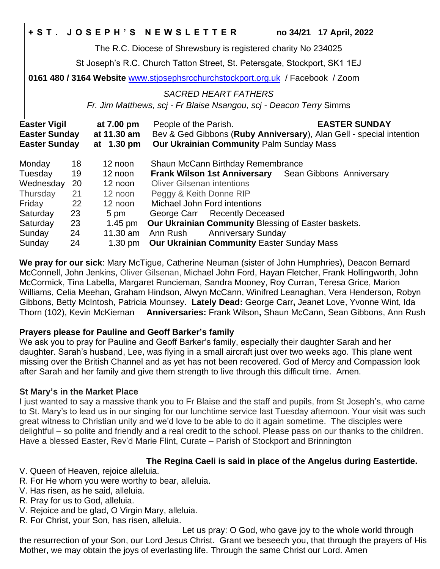|                                                                                 |    |                   | +ST. JOSEPH'S NEWSLETTER                                            |  |  | no 34/21 17 April, 2022                                      |
|---------------------------------------------------------------------------------|----|-------------------|---------------------------------------------------------------------|--|--|--------------------------------------------------------------|
| The R.C. Diocese of Shrewsbury is registered charity No 234025                  |    |                   |                                                                     |  |  |                                                              |
| St Joseph's R.C. Church Tatton Street, St. Petersgate, Stockport, SK1 1EJ       |    |                   |                                                                     |  |  |                                                              |
| 0161 480 / 3164 Website www.stjosephsrcchurchstockport.org.uk / Facebook / Zoom |    |                   |                                                                     |  |  |                                                              |
| <b>SACRED HEART FATHERS</b>                                                     |    |                   |                                                                     |  |  |                                                              |
| Fr. Jim Matthews, scj - Fr Blaise Nsangou, scj - Deacon Terry Simms             |    |                   |                                                                     |  |  |                                                              |
| <b>Easter Vigil</b>                                                             |    | at 7.00 pm        | People of the Parish.                                               |  |  | <b>EASTER SUNDAY</b>                                         |
| <b>Easter Sunday</b>                                                            |    | at 11.30 am       | Bev & Ged Gibbons (Ruby Anniversary), Alan Gell - special intention |  |  |                                                              |
| <b>Easter Sunday</b>                                                            |    | at 1.30 pm        | <b>Our Ukrainian Community Palm Sunday Mass</b>                     |  |  |                                                              |
| Monday                                                                          | 18 | 12 noon           | Shaun McCann Birthday Remembrance                                   |  |  |                                                              |
| Tuesday                                                                         | 19 | 12 noon           |                                                                     |  |  | <b>Frank Wilson 1st Anniversary</b> Sean Gibbons Anniversary |
| Wednesday                                                                       | 20 | 12 noon           | <b>Oliver Gilsenan intentions</b>                                   |  |  |                                                              |
| Thursday                                                                        | 21 | 12 noon           | Peggy & Keith Donne RIP                                             |  |  |                                                              |
| Friday                                                                          | 22 | 12 noon           | Michael John Ford intentions                                        |  |  |                                                              |
| Saturday                                                                        | 23 | 5 pm              | George Carr Recently Deceased                                       |  |  |                                                              |
| Saturday                                                                        | 23 | 1.45 pm           | Our Ukrainian Community Blessing of Easter baskets.                 |  |  |                                                              |
| Sunday                                                                          | 24 | 11.30 am          | Ann Rush Anniversary Sunday                                         |  |  |                                                              |
| Sunday                                                                          | 24 | $1.30 \text{ pm}$ | <b>Our Ukrainian Community Easter Sunday Mass</b>                   |  |  |                                                              |

**We pray for our sick**: Mary McTigue, Catherine Neuman (sister of John Humphries), Deacon Bernard McConnell, John Jenkins, Oliver Gilsenan, Michael John Ford, Hayan Fletcher, Frank Hollingworth, John McCormick, Tina Labella, Margaret Runcieman, Sandra Mooney, Roy Curran, Teresa Grice, Marion Williams, Celia Meehan, Graham Hindson, Alwyn McCann, Winifred Leanaghan, Vera Henderson, Robyn Gibbons, Betty McIntosh, Patricia Mounsey. **Lately Dead:** George Carr**,** Jeanet Love, Yvonne Wint, Ida Thorn (102), Kevin McKiernan **Anniversaries:** Frank Wilson**,** Shaun McCann, Sean Gibbons, Ann Rush

### **Prayers please for Pauline and Geoff Barker's family**

We ask you to pray for Pauline and Geoff Barker's family, especially their daughter Sarah and her daughter. Sarah's husband, Lee, was flying in a small aircraft just over two weeks ago. This plane went missing over the British Channel and as yet has not been recovered. God of Mercy and Compassion look after Sarah and her family and give them strength to live through this difficult time. Amen.

## **St Mary's in the Market Place**

I just wanted to say a massive thank you to Fr Blaise and the staff and pupils, from St Joseph's, who came to St. Mary's to lead us in our singing for our lunchtime service last Tuesday afternoon. Your visit was such great witness to Christian unity and we'd love to be able to do it again sometime. The disciples were delightful – so polite and friendly and a real credit to the school. Please pass on our thanks to the children. Have a blessed Easter, Rev'd Marie Flint, Curate – Parish of Stockport and Brinnington

## **The Regina Caeli is said in place of the Angelus during Eastertide.**

V. Queen of Heaven, rejoice alleluia.

R. For He whom you were worthy to bear, alleluia.

- V. Has risen, as he said, alleluia.
- R. Pray for us to God, alleluia.
- V. Rejoice and be glad, O Virgin Mary, alleluia.

R. For Christ, your Son, has risen, alleluia.

 Let us pray: O God, who gave joy to the whole world through the resurrection of your Son, our Lord Jesus Christ. Grant we beseech you, that through the prayers of His Mother, we may obtain the joys of everlasting life. Through the same Christ our Lord. Amen